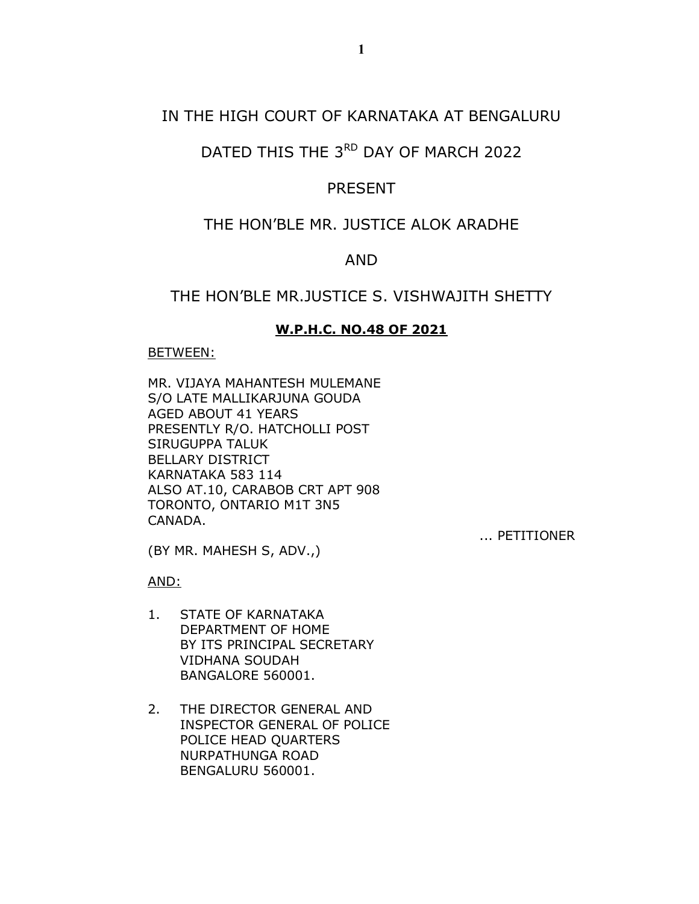## IN THE HIGH COURT OF KARNATAKA AT BENGALURU

# DATED THIS THE 3RD DAY OF MARCH 2022

### PRESENT

# THE HON'BLE MR. JUSTICE ALOK ARADHE

#### AND

# THE HON'BLE MR.JUSTICE S. VISHWAJITH SHETTY

#### W.P.H.C. NO.48 OF 2021

#### BETWEEN:

MR. VIJAYA MAHANTESH MULEMANE S/O LATE MALLIKARJUNA GOUDA AGED ABOUT 41 YEARS PRESENTLY R/O. HATCHOLLI POST SIRUGUPPA TALUK BELLARY DISTRICT KARNATAKA 583 114 ALSO AT.10, CARABOB CRT APT 908 TORONTO, ONTARIO M1T 3N5 CANADA.

... PETITIONER

(BY MR. MAHESH S, ADV.,)

AND:

- 1. STATE OF KARNATAKA DEPARTMENT OF HOME BY ITS PRINCIPAL SECRETARY VIDHANA SOUDAH BANGALORE 560001.
- 2. THE DIRECTOR GENERAL AND INSPECTOR GENERAL OF POLICE POLICE HEAD QUARTERS NURPATHUNGA ROAD BENGALURU 560001.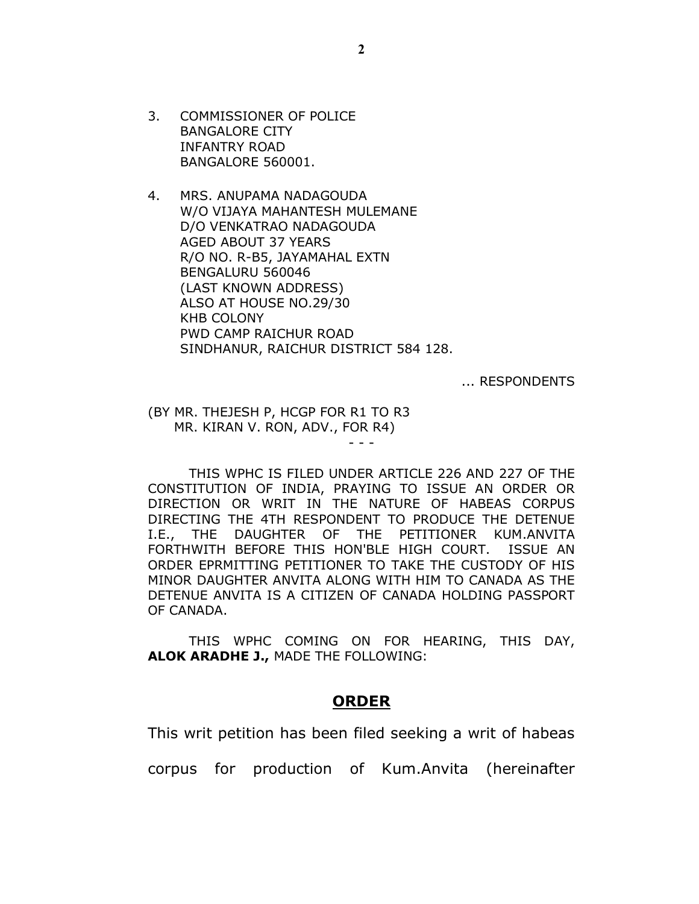3. COMMISSIONER OF POLICE BANGALORE CITY INFANTRY ROAD BANGALORE 560001.

4. MRS. ANUPAMA NADAGOUDA W/O VIJAYA MAHANTESH MULEMANE D/O VENKATRAO NADAGOUDA AGED ABOUT 37 YEARS R/O NO. R-B5, JAYAMAHAL EXTN BENGALURU 560046 (LAST KNOWN ADDRESS) ALSO AT HOUSE NO.29/30 KHB COLONY PWD CAMP RAICHUR ROAD SINDHANUR, RAICHUR DISTRICT 584 128.

... RESPONDENTS

(BY MR. THEJESH P, HCGP FOR R1 TO R3 MR. KIRAN V. RON, ADV., FOR R4)

 THIS WPHC IS FILED UNDER ARTICLE 226 AND 227 OF THE CONSTITUTION OF INDIA, PRAYING TO ISSUE AN ORDER OR DIRECTION OR WRIT IN THE NATURE OF HABEAS CORPUS DIRECTING THE 4TH RESPONDENT TO PRODUCE THE DETENUE I.E., THE DAUGHTER OF THE PETITIONER KUM.ANVITA FORTHWITH BEFORE THIS HON'BLE HIGH COURT. ISSUE AN ORDER EPRMITTING PETITIONER TO TAKE THE CUSTODY OF HIS MINOR DAUGHTER ANVITA ALONG WITH HIM TO CANADA AS THE DETENUE ANVITA IS A CITIZEN OF CANADA HOLDING PASSPORT OF CANADA.

- - -

 THIS WPHC COMING ON FOR HEARING, THIS DAY, ALOK ARADHE J., MADE THE FOLLOWING:

#### **ORDER**

This writ petition has been filed seeking a writ of habeas

corpus for production of Kum.Anvita (hereinafter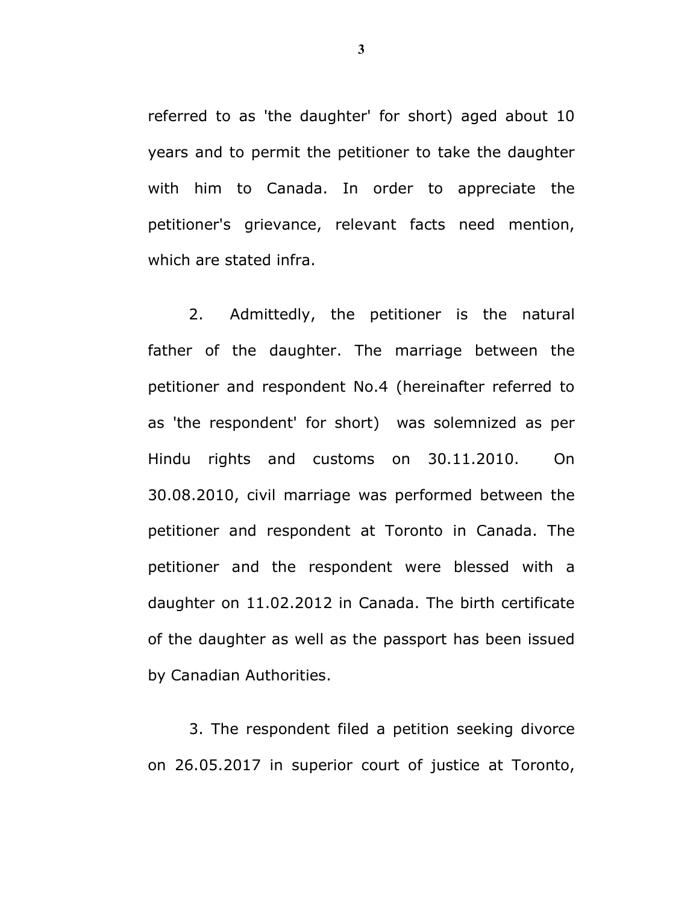referred to as 'the daughter' for short) aged about 10 years and to permit the petitioner to take the daughter with him to Canada. In order to appreciate the petitioner's grievance, relevant facts need mention, which are stated infra.

 2. Admittedly, the petitioner is the natural father of the daughter. The marriage between the petitioner and respondent No.4 (hereinafter referred to as 'the respondent' for short) was solemnized as per Hindu rights and customs on 30.11.2010. On 30.08.2010, civil marriage was performed between the petitioner and respondent at Toronto in Canada. The petitioner and the respondent were blessed with a daughter on 11.02.2012 in Canada. The birth certificate of the daughter as well as the passport has been issued by Canadian Authorities.

3. The respondent filed a petition seeking divorce on 26.05.2017 in superior court of justice at Toronto,

3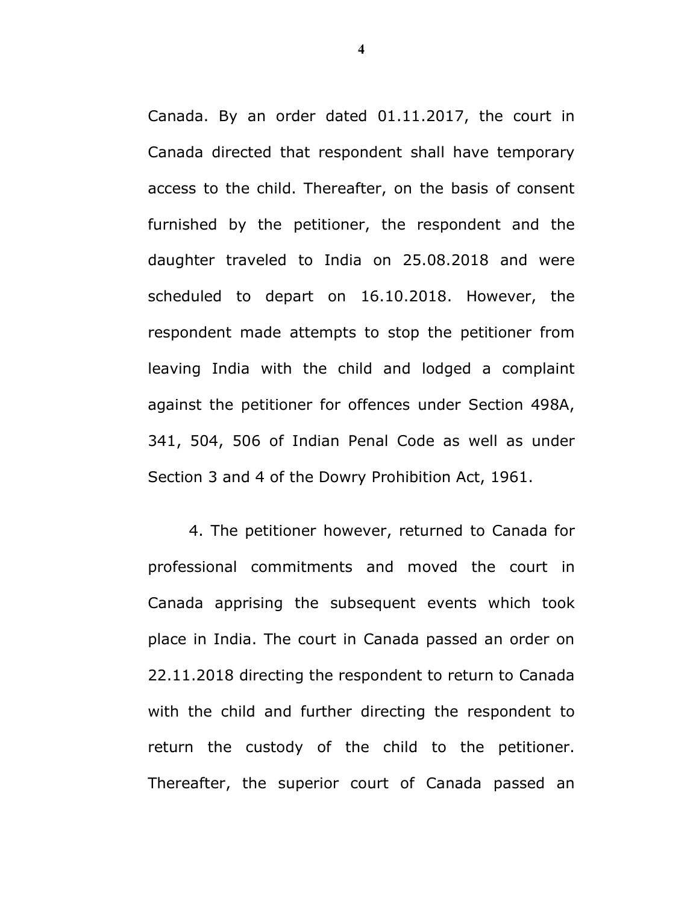Canada. By an order dated 01.11.2017, the court in Canada directed that respondent shall have temporary access to the child. Thereafter, on the basis of consent furnished by the petitioner, the respondent and the daughter traveled to India on 25.08.2018 and were scheduled to depart on 16.10.2018. However, the respondent made attempts to stop the petitioner from leaving India with the child and lodged a complaint against the petitioner for offences under Section 498A, 341, 504, 506 of Indian Penal Code as well as under Section 3 and 4 of the Dowry Prohibition Act, 1961.

4. The petitioner however, returned to Canada for professional commitments and moved the court in Canada apprising the subsequent events which took place in India. The court in Canada passed an order on 22.11.2018 directing the respondent to return to Canada with the child and further directing the respondent to return the custody of the child to the petitioner. Thereafter, the superior court of Canada passed an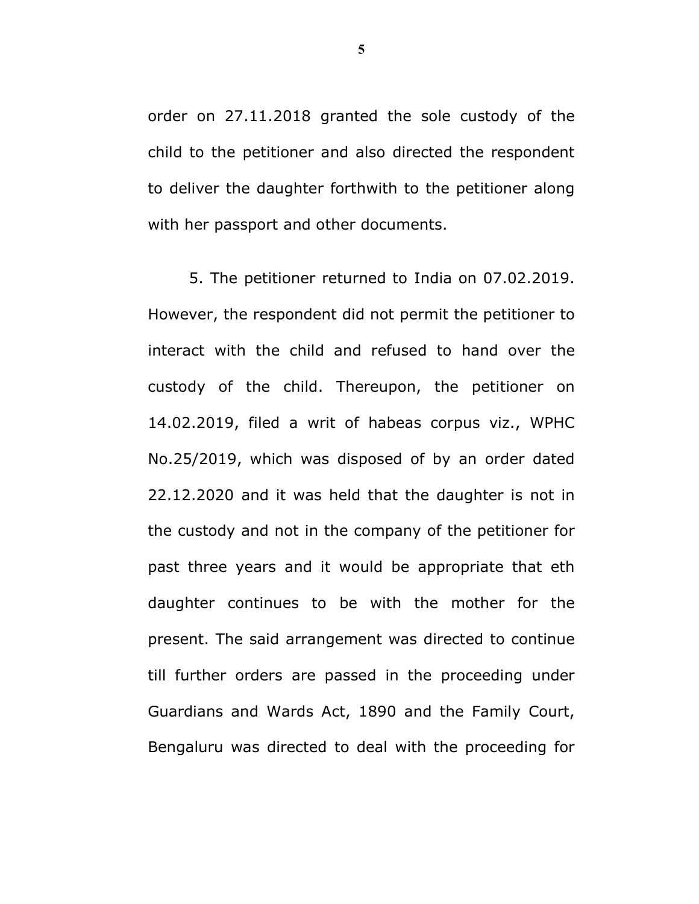order on 27.11.2018 granted the sole custody of the child to the petitioner and also directed the respondent to deliver the daughter forthwith to the petitioner along with her passport and other documents.

5. The petitioner returned to India on 07.02.2019. However, the respondent did not permit the petitioner to interact with the child and refused to hand over the custody of the child. Thereupon, the petitioner on 14.02.2019, filed a writ of habeas corpus viz., WPHC No.25/2019, which was disposed of by an order dated 22.12.2020 and it was held that the daughter is not in the custody and not in the company of the petitioner for past three years and it would be appropriate that eth daughter continues to be with the mother for the present. The said arrangement was directed to continue till further orders are passed in the proceeding under Guardians and Wards Act, 1890 and the Family Court, Bengaluru was directed to deal with the proceeding for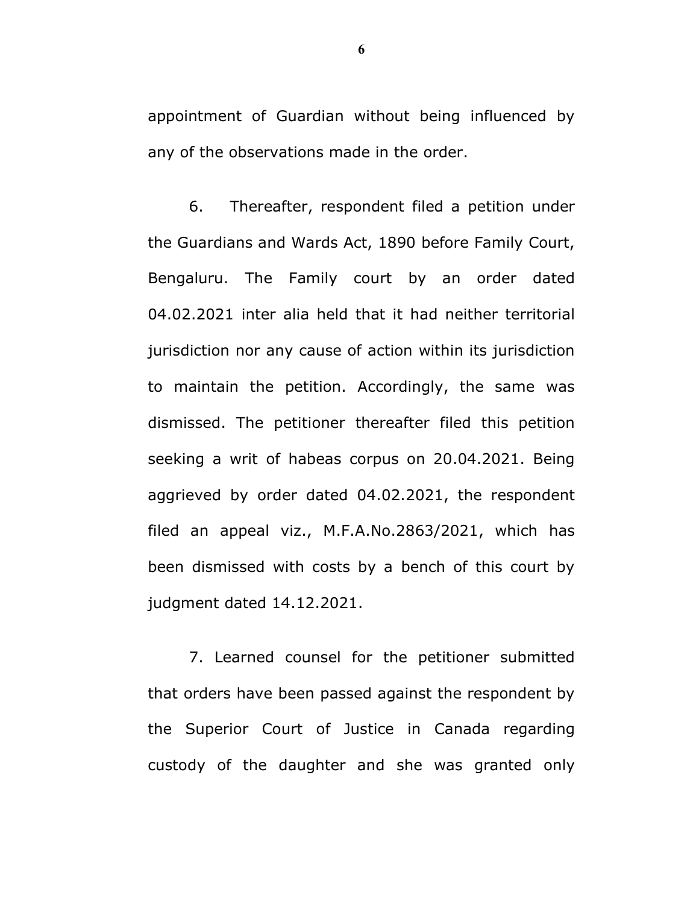appointment of Guardian without being influenced by any of the observations made in the order.

6. Thereafter, respondent filed a petition under the Guardians and Wards Act, 1890 before Family Court, Bengaluru. The Family court by an order dated 04.02.2021 inter alia held that it had neither territorial jurisdiction nor any cause of action within its jurisdiction to maintain the petition. Accordingly, the same was dismissed. The petitioner thereafter filed this petition seeking a writ of habeas corpus on 20.04.2021. Being aggrieved by order dated 04.02.2021, the respondent filed an appeal viz., M.F.A.No.2863/2021, which has been dismissed with costs by a bench of this court by judgment dated 14.12.2021.

7. Learned counsel for the petitioner submitted that orders have been passed against the respondent by the Superior Court of Justice in Canada regarding custody of the daughter and she was granted only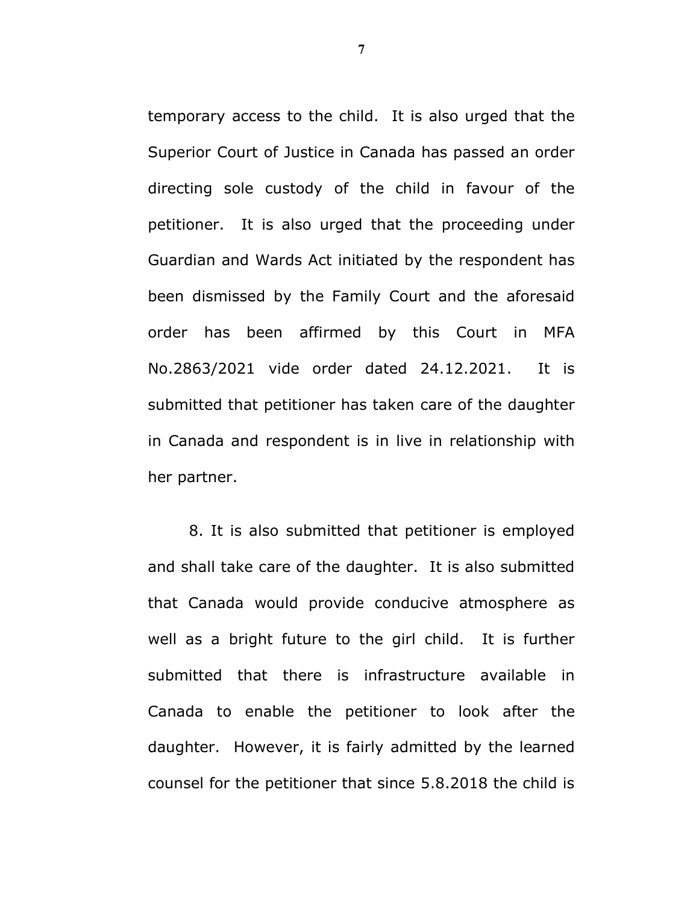temporary access to the child. It is also urged that the Superior Court of Justice in Canada has passed an order directing sole custody of the child in favour of the petitioner. It is also urged that the proceeding under Guardian and Wards Act initiated by the respondent has been dismissed by the Family Court and the aforesaid order has been affirmed by this Court in MFA No.2863/2021 vide order dated 24.12.2021. It is submitted that petitioner has taken care of the daughter in Canada and respondent is in live in relationship with her partner.

8. It is also submitted that petitioner is employed and shall take care of the daughter. It is also submitted that Canada would provide conducive atmosphere as well as a bright future to the girl child. It is further submitted that there is infrastructure available in Canada to enable the petitioner to look after the daughter. However, it is fairly admitted by the learned counsel for the petitioner that since 5.8.2018 the child is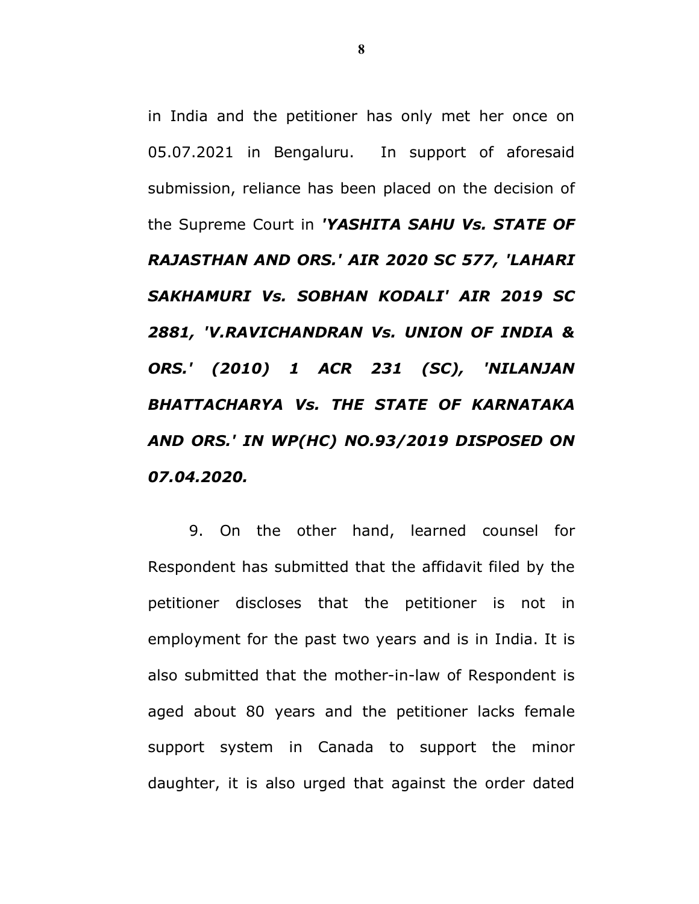in India and the petitioner has only met her once on 05.07.2021 in Bengaluru. In support of aforesaid submission, reliance has been placed on the decision of the Supreme Court in 'YASHITA SAHU Vs. STATE OF RAJASTHAN AND ORS.' AIR 2020 SC 577, 'LAHARI SAKHAMURI Vs. SOBHAN KODALI' AIR 2019 SC 2881, 'V.RAVICHANDRAN Vs. UNION OF INDIA & ORS.' (2010) 1 ACR 231 (SC), 'NILANJAN BHATTACHARYA Vs. THE STATE OF KARNATAKA AND ORS.' IN WP(HC) NO.93/2019 DISPOSED ON 07.04.2020.

9. On the other hand, learned counsel for Respondent has submitted that the affidavit filed by the petitioner discloses that the petitioner is not in employment for the past two years and is in India. It is also submitted that the mother-in-law of Respondent is aged about 80 years and the petitioner lacks female support system in Canada to support the minor daughter, it is also urged that against the order dated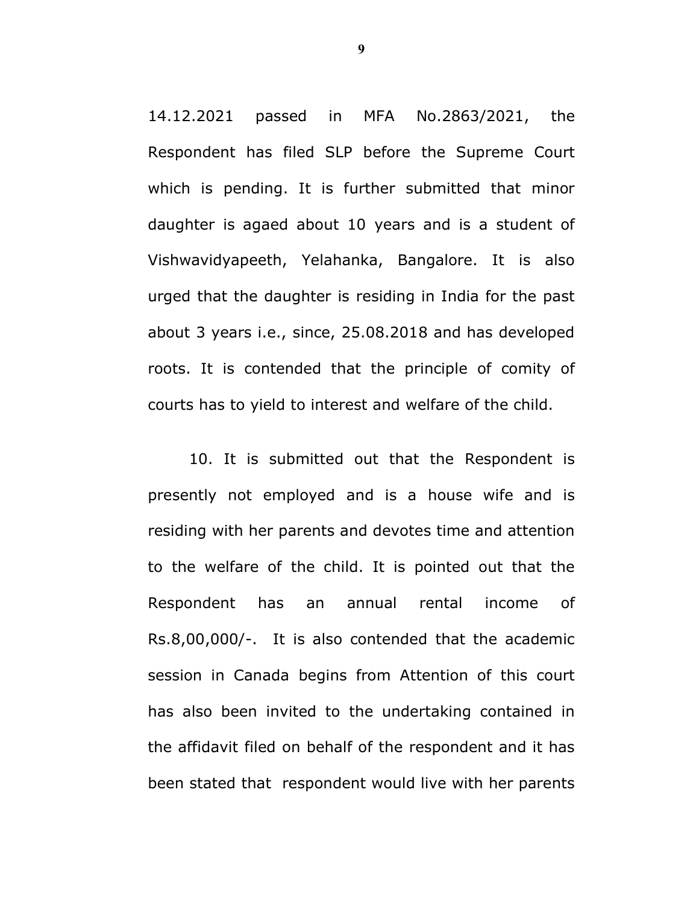14.12.2021 passed in MFA No.2863/2021, the Respondent has filed SLP before the Supreme Court which is pending. It is further submitted that minor daughter is agaed about 10 years and is a student of Vishwavidyapeeth, Yelahanka, Bangalore. It is also urged that the daughter is residing in India for the past about 3 years i.e., since, 25.08.2018 and has developed roots. It is contended that the principle of comity of courts has to yield to interest and welfare of the child.

10. It is submitted out that the Respondent is presently not employed and is a house wife and is residing with her parents and devotes time and attention to the welfare of the child. It is pointed out that the Respondent has an annual rental income of Rs.8,00,000/-. It is also contended that the academic session in Canada begins from Attention of this court has also been invited to the undertaking contained in the affidavit filed on behalf of the respondent and it has been stated that respondent would live with her parents

9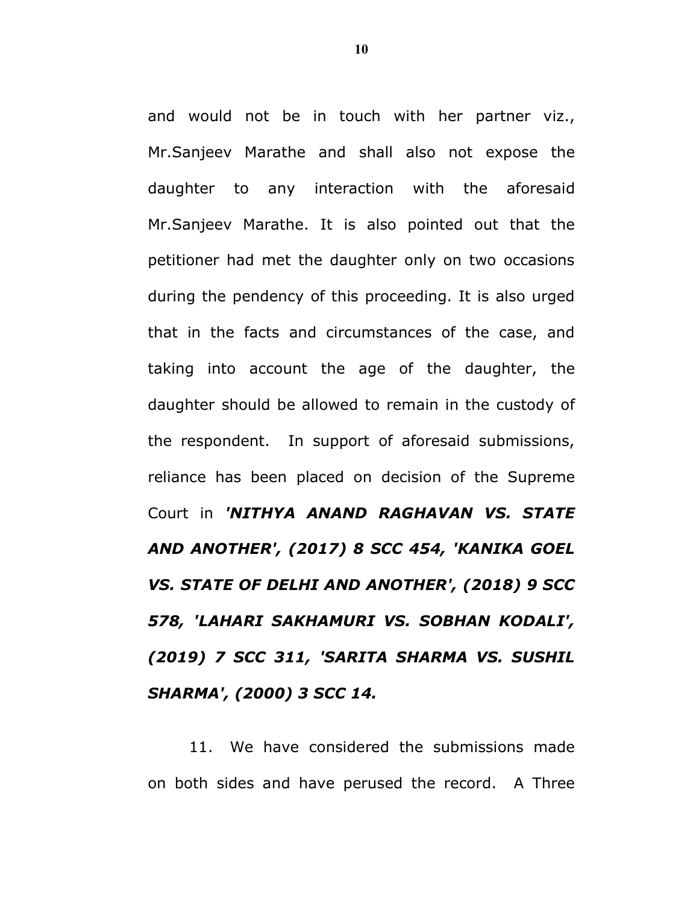and would not be in touch with her partner viz., Mr.Sanjeev Marathe and shall also not expose the daughter to any interaction with the aforesaid Mr.Sanjeev Marathe. It is also pointed out that the petitioner had met the daughter only on two occasions during the pendency of this proceeding. It is also urged that in the facts and circumstances of the case, and taking into account the age of the daughter, the daughter should be allowed to remain in the custody of the respondent. In support of aforesaid submissions, reliance has been placed on decision of the Supreme Court in 'NITHYA ANAND RAGHAVAN VS. STATE AND ANOTHER', (2017) 8 SCC 454, 'KANIKA GOEL VS. STATE OF DELHI AND ANOTHER', (2018) 9 SCC 578, 'LAHARI SAKHAMURI VS. SOBHAN KODALI', (2019) 7 SCC 311, 'SARITA SHARMA VS. SUSHIL SHARMA', (2000) 3 SCC 14.

11. We have considered the submissions made on both sides and have perused the record. A Three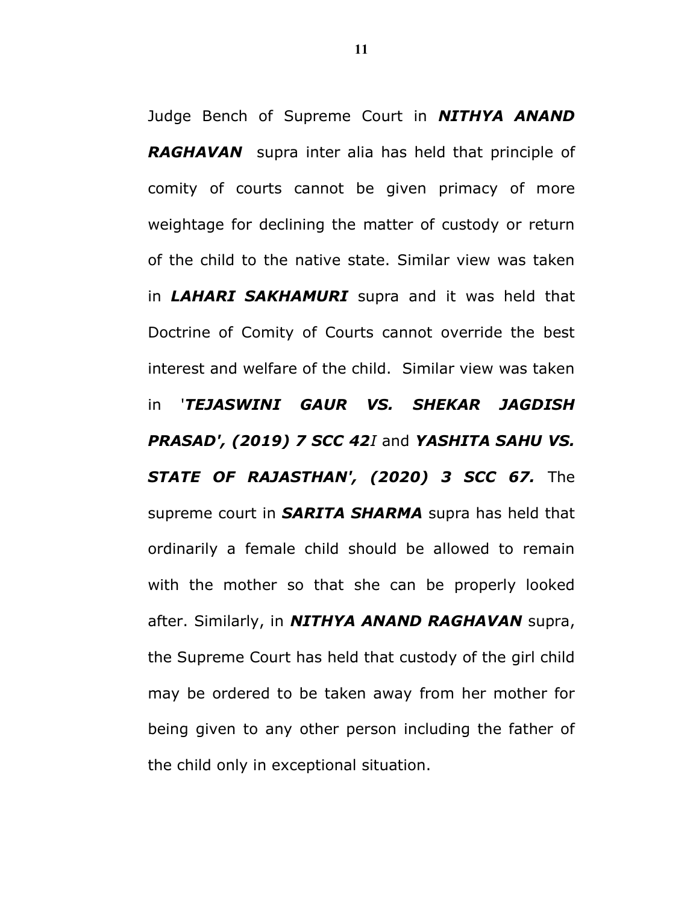Judge Bench of Supreme Court in **NITHYA ANAND RAGHAVAN** supra inter alia has held that principle of comity of courts cannot be given primacy of more weightage for declining the matter of custody or return of the child to the native state. Similar view was taken in **LAHARI SAKHAMURI** supra and it was held that Doctrine of Comity of Courts cannot override the best interest and welfare of the child. Similar view was taken in 'TEJASWINI GAUR VS. SHEKAR JAGDISH PRASAD', (2019) 7 SCC 42I and YASHITA SAHU VS. STATE OF RAJASTHAN', (2020) 3 SCC 67. The supreme court in **SARITA SHARMA** supra has held that ordinarily a female child should be allowed to remain with the mother so that she can be properly looked after. Similarly, in **NITHYA ANAND RAGHAVAN** supra, the Supreme Court has held that custody of the girl child may be ordered to be taken away from her mother for being given to any other person including the father of the child only in exceptional situation.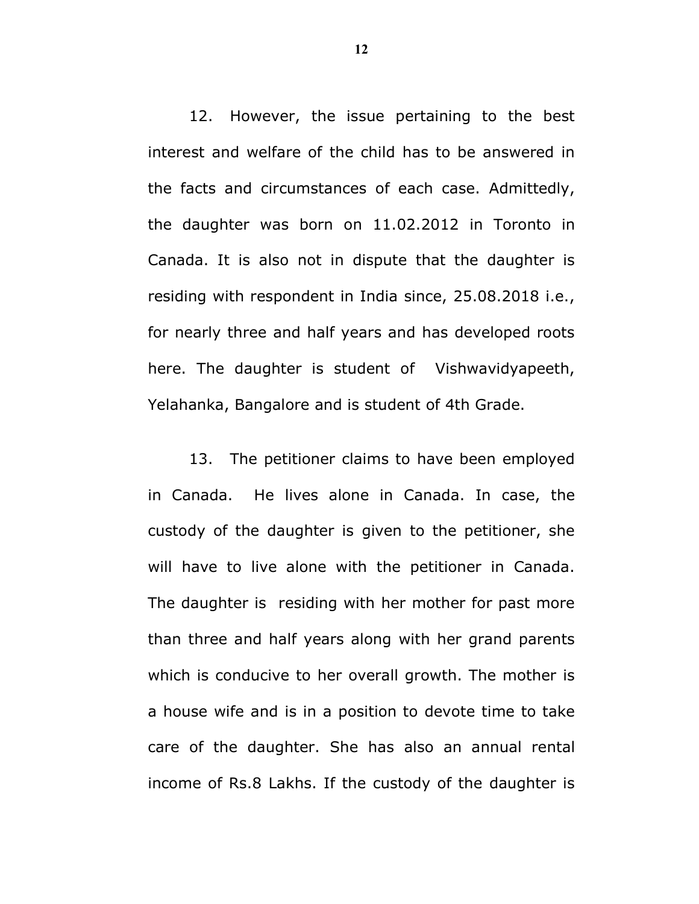12. However, the issue pertaining to the best interest and welfare of the child has to be answered in the facts and circumstances of each case. Admittedly, the daughter was born on 11.02.2012 in Toronto in Canada. It is also not in dispute that the daughter is residing with respondent in India since, 25.08.2018 i.e., for nearly three and half years and has developed roots here. The daughter is student of Vishwavidyapeeth, Yelahanka, Bangalore and is student of 4th Grade.

13. The petitioner claims to have been employed in Canada. He lives alone in Canada. In case, the custody of the daughter is given to the petitioner, she will have to live alone with the petitioner in Canada. The daughter is residing with her mother for past more than three and half years along with her grand parents which is conducive to her overall growth. The mother is a house wife and is in a position to devote time to take care of the daughter. She has also an annual rental income of Rs.8 Lakhs. If the custody of the daughter is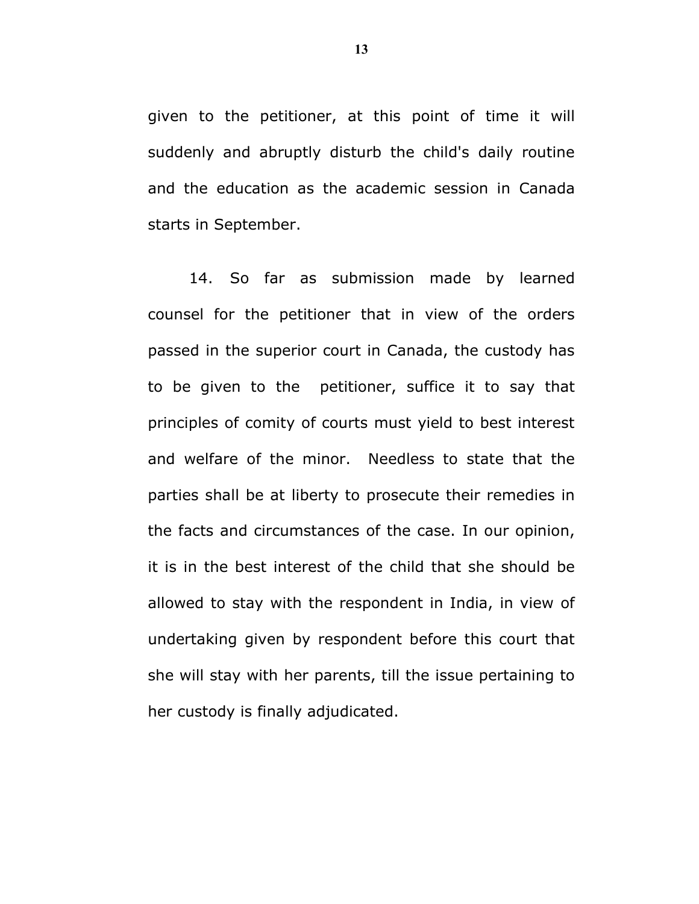given to the petitioner, at this point of time it will suddenly and abruptly disturb the child's daily routine and the education as the academic session in Canada starts in September.

14. So far as submission made by learned counsel for the petitioner that in view of the orders passed in the superior court in Canada, the custody has to be given to the petitioner, suffice it to say that principles of comity of courts must yield to best interest and welfare of the minor. Needless to state that the parties shall be at liberty to prosecute their remedies in the facts and circumstances of the case. In our opinion, it is in the best interest of the child that she should be allowed to stay with the respondent in India, in view of undertaking given by respondent before this court that she will stay with her parents, till the issue pertaining to her custody is finally adjudicated.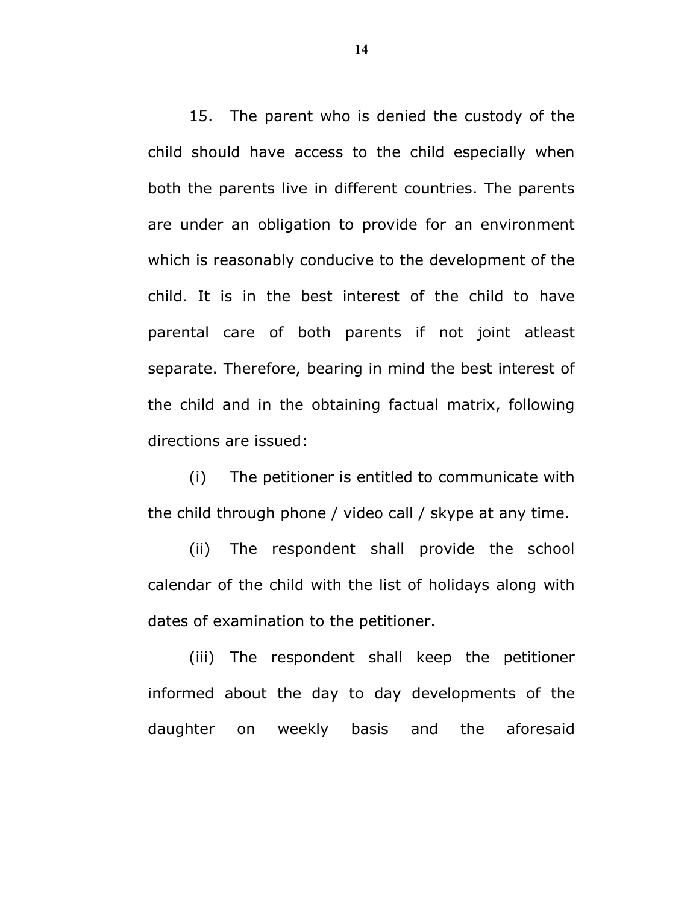15. The parent who is denied the custody of the child should have access to the child especially when both the parents live in different countries. The parents are under an obligation to provide for an environment which is reasonably conducive to the development of the child. It is in the best interest of the child to have parental care of both parents if not joint atleast separate. Therefore, bearing in mind the best interest of the child and in the obtaining factual matrix, following directions are issued:

(i) The petitioner is entitled to communicate with the child through phone / video call / skype at any time.

(ii) The respondent shall provide the school calendar of the child with the list of holidays along with dates of examination to the petitioner.

(iii) The respondent shall keep the petitioner informed about the day to day developments of the daughter on weekly basis and the aforesaid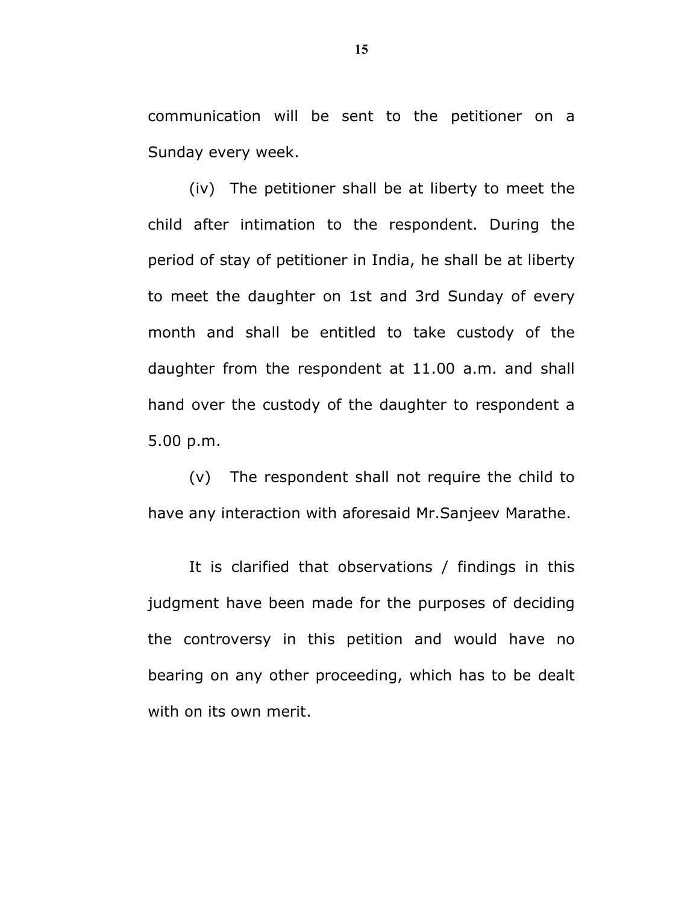communication will be sent to the petitioner on a Sunday every week.

(iv) The petitioner shall be at liberty to meet the child after intimation to the respondent. During the period of stay of petitioner in India, he shall be at liberty to meet the daughter on 1st and 3rd Sunday of every month and shall be entitled to take custody of the daughter from the respondent at 11.00 a.m. and shall hand over the custody of the daughter to respondent a 5.00 p.m.

(v) The respondent shall not require the child to have any interaction with aforesaid Mr.Sanjeev Marathe.

It is clarified that observations / findings in this judgment have been made for the purposes of deciding the controversy in this petition and would have no bearing on any other proceeding, which has to be dealt with on its own merit.